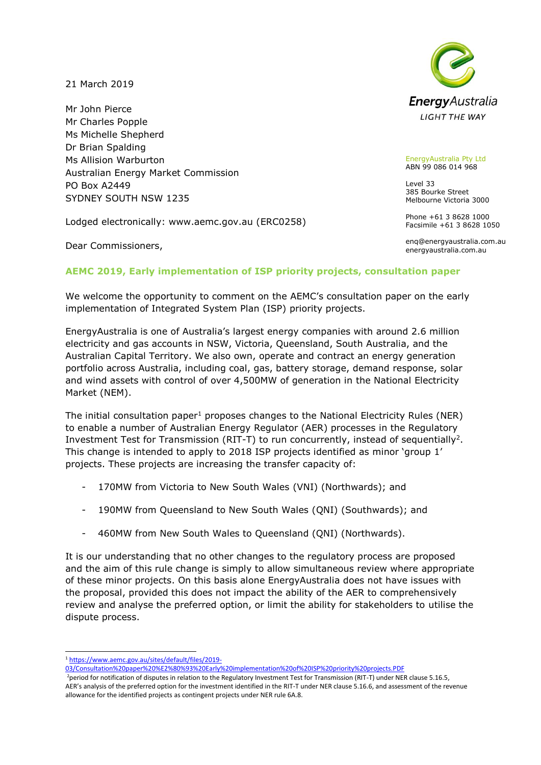21 March 2019

Mr John Pierce Mr Charles Popple Ms Michelle Shepherd Dr Brian Spalding Ms Allision Warburton Australian Energy Market Commission PO Box A2449 SYDNEY SOUTH NSW 1235

Lodged electronically: www.aemc.gov.au (ERC0258)

Dear Commissioners,



EnergyAustralia Pty Ltd ABN 99 086 014 968

Level 33 385 Bourke Street Melbourne Victoria 3000

Phone +61 3 8628 1000 Facsimile +61 3 8628 1050

enq@energyaustralia.com.au energyaustralia.com.au

## **AEMC 2019, Early implementation of ISP priority projects, consultation paper**

We welcome the opportunity to comment on the AEMC's consultation paper on the early implementation of Integrated System Plan (ISP) priority projects.

EnergyAustralia is one of Australia's largest energy companies with around 2.6 million electricity and gas accounts in NSW, Victoria, Queensland, South Australia, and the Australian Capital Territory. We also own, operate and contract an energy generation portfolio across Australia, including coal, gas, battery storage, demand response, solar and wind assets with control of over 4,500MW of generation in the National Electricity Market (NEM).

The initial consultation paper<sup>1</sup> proposes changes to the National Electricity Rules (NER) to enable a number of Australian Energy Regulator (AER) processes in the Regulatory Investment Test for Transmission (RIT-T) to run concurrently, instead of sequentially<sup>2</sup>. This change is intended to apply to 2018 ISP projects identified as minor 'group 1' projects. These projects are increasing the transfer capacity of:

- 170MW from Victoria to New South Wales (VNI) (Northwards); and
- 190MW from Queensland to New South Wales (QNI) (Southwards); and
- 460MW from New South Wales to Queensland (QNI) (Northwards).

It is our understanding that no other changes to the regulatory process are proposed and the aim of this rule change is simply to allow simultaneous review where appropriate of these minor projects. On this basis alone EnergyAustralia does not have issues with the proposal, provided this does not impact the ability of the AER to comprehensively review and analyse the preferred option, or limit the ability for stakeholders to utilise the dispute process.

<sup>-</sup><sup>1</sup> [https://www.aemc.gov.au/sites/default/files/2019-](https://www.aemc.gov.au/sites/default/files/2019-03/Consultation%20paper%20%E2%80%93%20Early%20implementation%20of%20ISP%20priority%20projects.PDF)

[<sup>03/</sup>Consultation%20paper%20%E2%80%93%20Early%20implementation%20of%20ISP%20priority%20projects.PDF](https://www.aemc.gov.au/sites/default/files/2019-03/Consultation%20paper%20%E2%80%93%20Early%20implementation%20of%20ISP%20priority%20projects.PDF)

<sup>&</sup>lt;sup>2</sup>period for notification of disputes in relation to the Regulatory Investment Test for Transmission (RIT-T) under NER clause 5.16.5, AER's analysis of the preferred option for the investment identified in the RIT-T under NER clause 5.16.6, and assessment of the revenue allowance for the identified projects as contingent projects under NER rule 6A.8.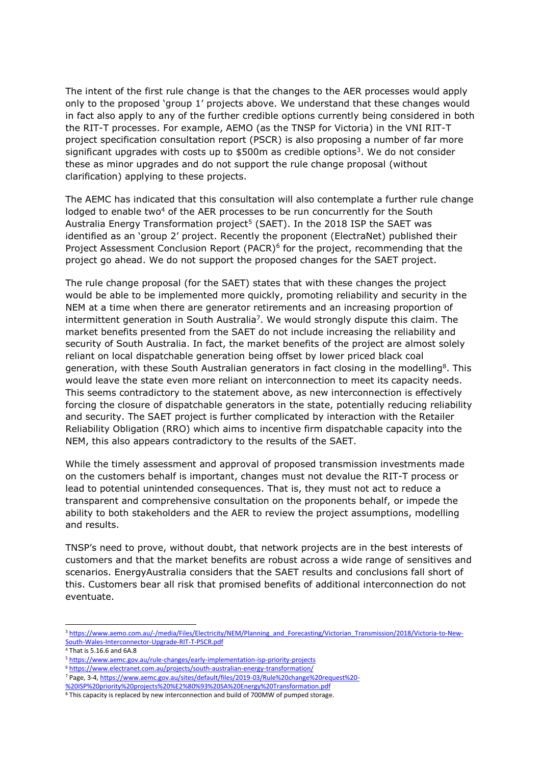The intent of the first rule change is that the changes to the AER processes would apply only to the proposed 'group 1' projects above. We understand that these changes would in fact also apply to any of the further credible options currently being considered in both the RIT-T processes. For example, AEMO (as the TNSP for Victoria) in the VNI RIT-T project specification consultation report (PSCR) is also proposing a number of far more significant upgrades with costs up to \$500m as credible options<sup>3</sup>. We do not consider these as minor upgrades and do not support the rule change proposal (without clarification) applying to these projects.

The AEMC has indicated that this consultation will also contemplate a further rule change lodged to enable two<sup>4</sup> of the AER processes to be run concurrently for the South Australia Energy Transformation project<sup>5</sup> (SAET). In the 2018 ISP the SAET was identified as an 'group 2' project. Recently the proponent (ElectraNet) published their Project Assessment Conclusion Report (PACR)<sup>6</sup> for the project, recommending that the project go ahead. We do not support the proposed changes for the SAET project.

The rule change proposal (for the SAET) states that with these changes the project would be able to be implemented more quickly, promoting reliability and security in the NEM at a time when there are generator retirements and an increasing proportion of intermittent generation in South Australia<sup>7</sup>. We would strongly dispute this claim. The market benefits presented from the SAET do not include increasing the reliability and security of South Australia. In fact, the market benefits of the project are almost solely reliant on local dispatchable generation being offset by lower priced black coal generation, with these South Australian generators in fact closing in the modelling<sup>8</sup>. This would leave the state even more reliant on interconnection to meet its capacity needs. This seems contradictory to the statement above, as new interconnection is effectively forcing the closure of dispatchable generators in the state, potentially reducing reliability and security. The SAET project is further complicated by interaction with the Retailer Reliability Obligation (RRO) which aims to incentive firm dispatchable capacity into the NEM, this also appears contradictory to the results of the SAET.

While the timely assessment and approval of proposed transmission investments made on the customers behalf is important, changes must not devalue the RIT-T process or lead to potential unintended consequences. That is, they must not act to reduce a transparent and comprehensive consultation on the proponents behalf, or impede the ability to both stakeholders and the AER to review the project assumptions, modelling and results.

TNSP's need to prove, without doubt, that network projects are in the best interests of customers and that the market benefits are robust across a wide range of sensitives and scenarios. EnergyAustralia considers that the SAET results and conclusions fall short of this. Customers bear all risk that promised benefits of additional interconnection do not eventuate.

-

<sup>6</sup> <https://www.electranet.com.au/projects/south-australian-energy-transformation/>

[%20ISP%20priority%20projects%20%E2%80%93%20SA%20Energy%20Transformation.pdf](https://www.aemc.gov.au/sites/default/files/2019-03/Rule%20change%20request%20-%20ISP%20priority%20projects%20%E2%80%93%20SA%20Energy%20Transformation.pdf)

<sup>&</sup>lt;sup>3</sup> [https://www.aemo.com.au/-/media/Files/Electricity/NEM/Planning\\_and\\_Forecasting/Victorian\\_Transmission/2018/Victoria-to-New-](https://www.aemo.com.au/-/media/Files/Electricity/NEM/Planning_and_Forecasting/Victorian_Transmission/2018/Victoria-to-New-South-Wales-Interconnector-Upgrade-RIT-T-PSCR.pdf)[South-Wales-Interconnector-Upgrade-RIT-T-PSCR.pdf](https://www.aemo.com.au/-/media/Files/Electricity/NEM/Planning_and_Forecasting/Victorian_Transmission/2018/Victoria-to-New-South-Wales-Interconnector-Upgrade-RIT-T-PSCR.pdf)

<sup>4</sup> That is 5.16.6 and 6A.8

<sup>5</sup> <https://www.aemc.gov.au/rule-changes/early-implementation-isp-priority-projects>

<sup>7</sup> Page, 3-4[, https://www.aemc.gov.au/sites/default/files/2019-03/Rule%20change%20request%20-](https://www.aemc.gov.au/sites/default/files/2019-03/Rule%20change%20request%20-%20ISP%20priority%20projects%20%E2%80%93%20SA%20Energy%20Transformation.pdf)

<sup>&</sup>lt;sup>8</sup> This capacity is replaced by new interconnection and build of 700MW of pumped storage.